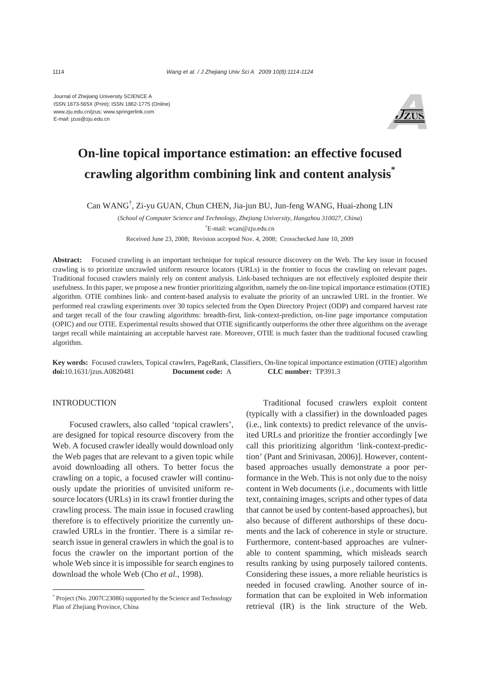Journal of Zhejiang University SCIENCE A ISSN 1673-565X (Print); ISSN 1862-1775 (Online) www.zju.edu.cn/jzus; www.springerlink.com E-mail: jzus@zju.edu.cn



# **On-line topical importance estimation: an effective focused crawling algorithm combining link and content analysis\***

Can WANG† , Zi-yu GUAN, Chun CHEN, Jia-jun BU, Jun-feng WANG, Huai-zhong LIN

(*School of Computer Science and Technology, Zhejiang University, Hangzhou 310027, China*) † E-mail: wcan@zju.edu.cn Received June 23, 2008; Revision accepted Nov. 4, 2008; Crosschecked June 10, 2009

**Abstract:** Focused crawling is an important technique for topical resource discovery on the Web. The key issue in focused crawling is to prioritize uncrawled uniform resource locators (URLs) in the frontier to focus the crawling on relevant pages. Traditional focused crawlers mainly rely on content analysis. Link-based techniques are not effectively exploited despite their usefulness. In this paper, we propose a new frontier prioritizing algorithm, namely the on-line topical importance estimation (OTIE) algorithm. OTIE combines link- and content-based analysis to evaluate the priority of an uncrawled URL in the frontier. We performed real crawling experiments over 30 topics selected from the Open Directory Project (ODP) and compared harvest rate and target recall of the four crawling algorithms: breadth-first, link-context-prediction, on-line page importance computation (OPIC) and our OTIE. Experimental results showed that OTIE significantly outperforms the other three algorithms on the average target recall while maintaining an acceptable harvest rate. Moreover, OTIE is much faster than the traditional focused crawling algorithm.

**Key words:** Focused crawlers, Topical crawlers, PageRank, Classifiers, On-line topical importance estimation (OTIE) algorithm **doi:**10.1631/jzus.A0820481 **Document code:** A **CLC number:** TP391.3

# **INTRODUCTION**

Focused crawlers, also called 'topical crawlers', are designed for topical resource discovery from the Web. A focused crawler ideally would download only the Web pages that are relevant to a given topic while avoid downloading all others. To better focus the crawling on a topic, a focused crawler will continuously update the priorities of unvisited uniform resource locators (URLs) in its crawl frontier during the crawling process. The main issue in focused crawling therefore is to effectively prioritize the currently uncrawled URLs in the frontier. There is a similar research issue in general crawlers in which the goal is to focus the crawler on the important portion of the whole Web since it is impossible for search engines to download the whole Web (Cho *et al.*, 1998).

Traditional focused crawlers exploit content (typically with a classifier) in the downloaded pages (i.e., link contexts) to predict relevance of the unvisited URLs and prioritize the frontier accordingly [we call this prioritizing algorithm 'link-context-prediction' (Pant and Srinivasan, 2006)]. However, contentbased approaches usually demonstrate a poor performance in the Web. This is not only due to the noisy content in Web documents (i.e., documents with little text, containing images, scripts and other types of data that cannot be used by content-based approaches), but also because of different authorships of these documents and the lack of coherence in style or structure. Furthermore, content-based approaches are vulnerable to content spamming, which misleads search results ranking by using purposely tailored contents. Considering these issues, a more reliable heuristics is needed in focused crawling. Another source of information that can be exploited in Web information retrieval (IR) is the link structure of the Web.

<sup>\*</sup> Project (No. 2007C23086) supported by the Science and Technology Plan of Zhejiang Province, China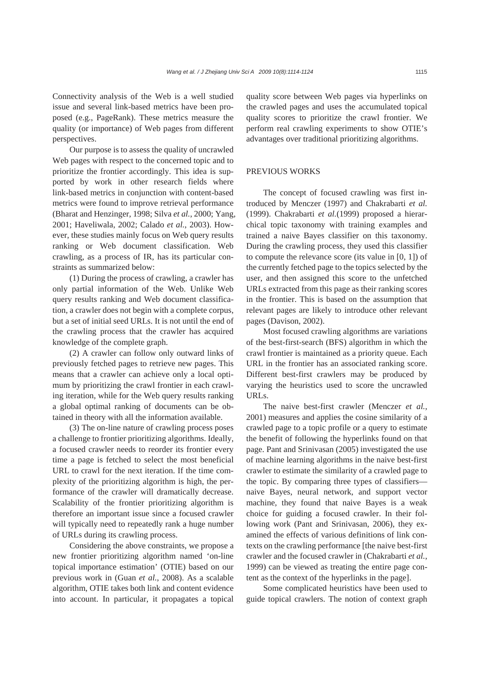Connectivity analysis of the Web is a well studied issue and several link-based metrics have been proposed (e.g., PageRank). These metrics measure the quality (or importance) of Web pages from different perspectives.

Our purpose is to assess the quality of uncrawled Web pages with respect to the concerned topic and to prioritize the frontier accordingly. This idea is supported by work in other research fields where link-based metrics in conjunction with content-based metrics were found to improve retrieval performance (Bharat and Henzinger, 1998; Silva *et al.*, 2000; Yang, 2001; Haveliwala, 2002; Calado *et al.*, 2003). However, these studies mainly focus on Web query results ranking or Web document classification. Web crawling, as a process of IR, has its particular constraints as summarized below:

(1) During the process of crawling, a crawler has only partial information of the Web. Unlike Web query results ranking and Web document classification, a crawler does not begin with a complete corpus, but a set of initial seed URLs. It is not until the end of the crawling process that the crawler has acquired knowledge of the complete graph.

(2) A crawler can follow only outward links of previously fetched pages to retrieve new pages. This means that a crawler can achieve only a local optimum by prioritizing the crawl frontier in each crawling iteration, while for the Web query results ranking a global optimal ranking of documents can be obtained in theory with all the information available.

(3) The on-line nature of crawling process poses a challenge to frontier prioritizing algorithms. Ideally, a focused crawler needs to reorder its frontier every time a page is fetched to select the most beneficial URL to crawl for the next iteration. If the time complexity of the prioritizing algorithm is high, the performance of the crawler will dramatically decrease. Scalability of the frontier prioritizing algorithm is therefore an important issue since a focused crawler will typically need to repeatedly rank a huge number of URLs during its crawling process.

Considering the above constraints, we propose a new frontier prioritizing algorithm named 'on-line topical importance estimation' (OTIE) based on our previous work in (Guan *et al.*, 2008). As a scalable algorithm, OTIE takes both link and content evidence into account. In particular, it propagates a topical quality score between Web pages via hyperlinks on the crawled pages and uses the accumulated topical quality scores to prioritize the crawl frontier. We perform real crawling experiments to show OTIE's advantages over traditional prioritizing algorithms.

## PREVIOUS WORKS

The concept of focused crawling was first introduced by Menczer (1997) and Chakrabarti *et al.* (1999). Chakrabarti *et al.*(1999) proposed a hierarchical topic taxonomy with training examples and trained a naive Bayes classifier on this taxonomy. During the crawling process, they used this classifier to compute the relevance score (its value in [0, 1]) of the currently fetched page to the topics selected by the user, and then assigned this score to the unfetched URLs extracted from this page as their ranking scores in the frontier. This is based on the assumption that relevant pages are likely to introduce other relevant pages (Davison, 2002).

Most focused crawling algorithms are variations of the best-first-search (BFS) algorithm in which the crawl frontier is maintained as a priority queue. Each URL in the frontier has an associated ranking score. Different best-first crawlers may be produced by varying the heuristics used to score the uncrawled URLs.

The naive best-first crawler (Menczer *et al.*, 2001) measures and applies the cosine similarity of a crawled page to a topic profile or a query to estimate the benefit of following the hyperlinks found on that page. Pant and Srinivasan (2005) investigated the use of machine learning algorithms in the naive best-first crawler to estimate the similarity of a crawled page to the topic. By comparing three types of classifiers naive Bayes, neural network, and support vector machine, they found that naive Bayes is a weak choice for guiding a focused crawler. In their following work (Pant and Srinivasan, 2006), they examined the effects of various definitions of link contexts on the crawling performance [the naive best-first crawler and the focused crawler in (Chakrabarti *et al.*, 1999) can be viewed as treating the entire page content as the context of the hyperlinks in the page].

Some complicated heuristics have been used to guide topical crawlers. The notion of context graph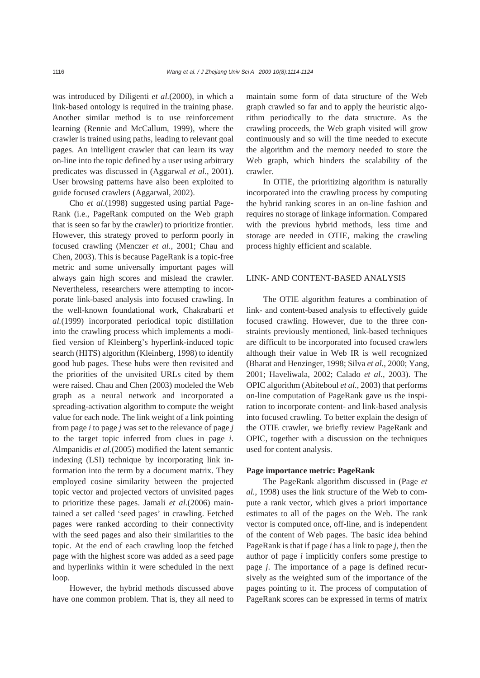was introduced by Diligenti *et al.*(2000), in which a link-based ontology is required in the training phase. Another similar method is to use reinforcement learning (Rennie and McCallum, 1999), where the crawler is trained using paths, leading to relevant goal pages. An intelligent crawler that can learn its way on-line into the topic defined by a user using arbitrary predicates was discussed in (Aggarwal *et al.*, 2001). User browsing patterns have also been exploited to guide focused crawlers (Aggarwal, 2002).

Cho *et al.*(1998) suggested using partial Page-Rank (i.e., PageRank computed on the Web graph that is seen so far by the crawler) to prioritize frontier. However, this strategy proved to perform poorly in focused crawling (Menczer *et al.*, 2001; Chau and Chen, 2003). This is because PageRank is a topic-free metric and some universally important pages will always gain high scores and mislead the crawler. Nevertheless, researchers were attempting to incorporate link-based analysis into focused crawling. In the well-known foundational work, Chakrabarti *et al.*(1999) incorporated periodical topic distillation into the crawling process which implements a modified version of Kleinberg's hyperlink-induced topic search (HITS) algorithm (Kleinberg, 1998) to identify good hub pages. These hubs were then revisited and the priorities of the unvisited URLs cited by them were raised. Chau and Chen (2003) modeled the Web graph as a neural network and incorporated a spreading-activation algorithm to compute the weight value for each node. The link weight of a link pointing from page *i* to page *j* was set to the relevance of page *j* to the target topic inferred from clues in page *i*. Almpanidis *et al.*(2005) modified the latent semantic indexing (LSI) technique by incorporating link information into the term by a document matrix. They employed cosine similarity between the projected topic vector and projected vectors of unvisited pages to prioritize these pages. Jamali *et al.*(2006) maintained a set called 'seed pages' in crawling. Fetched pages were ranked according to their connectivity with the seed pages and also their similarities to the topic. At the end of each crawling loop the fetched page with the highest score was added as a seed page and hyperlinks within it were scheduled in the next loop.

However, the hybrid methods discussed above have one common problem. That is, they all need to

maintain some form of data structure of the Web graph crawled so far and to apply the heuristic algorithm periodically to the data structure. As the crawling proceeds, the Web graph visited will grow continuously and so will the time needed to execute the algorithm and the memory needed to store the Web graph, which hinders the scalability of the crawler.

In OTIE, the prioritizing algorithm is naturally incorporated into the crawling process by computing the hybrid ranking scores in an on-line fashion and requires no storage of linkage information. Compared with the previous hybrid methods, less time and storage are needed in OTIE, making the crawling process highly efficient and scalable.

## LINK- AND CONTENT-BASED ANALYSIS

The OTIE algorithm features a combination of link- and content-based analysis to effectively guide focused crawling. However, due to the three constraints previously mentioned, link-based techniques are difficult to be incorporated into focused crawlers although their value in Web IR is well recognized (Bharat and Henzinger, 1998; Silva *et al.*, 2000; Yang, 2001; Haveliwala, 2002; Calado *et al.*, 2003). The OPIC algorithm (Abiteboul *et al.*, 2003) that performs on-line computation of PageRank gave us the inspiration to incorporate content- and link-based analysis into focused crawling. To better explain the design of the OTIE crawler, we briefly review PageRank and OPIC, together with a discussion on the techniques used for content analysis.

## **Page importance metric: PageRank**

The PageRank algorithm discussed in (Page *et al.*, 1998) uses the link structure of the Web to compute a rank vector, which gives a priori importance estimates to all of the pages on the Web. The rank vector is computed once, off-line, and is independent of the content of Web pages. The basic idea behind PageRank is that if page *i* has a link to page *j*, then the author of page *i* implicitly confers some prestige to page *j*. The importance of a page is defined recursively as the weighted sum of the importance of the pages pointing to it. The process of computation of PageRank scores can be expressed in terms of matrix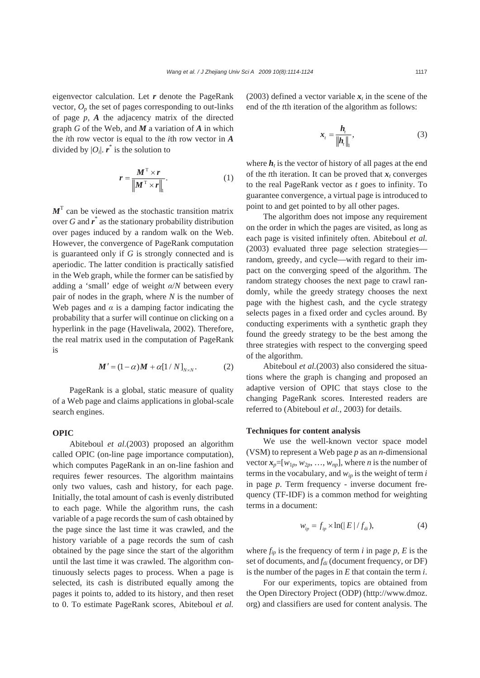eigenvector calculation. Let *r* denote the PageRank vector,  $O_p$  the set of pages corresponding to out-links of page *p*, *A* the adjacency matrix of the directed graph *G* of the Web, and *M* a variation of *A* in which the *i*th row vector is equal to the *i*th row vector in *A* divided by  $|O_i|$ .  $r^*$  is the solution to

$$
r = \frac{M^{T} \times r}{\left\| M^{T} \times r \right\|_{1}}.
$$
 (1)

 $M<sup>T</sup>$  can be viewed as the stochastic transition matrix over  $G$  and  $r^*$  as the stationary probability distribution over pages induced by a random walk on the Web. However, the convergence of PageRank computation is guaranteed only if *G* is strongly connected and is aperiodic. The latter condition is practically satisfied in the Web graph, while the former can be satisfied by adding a 'small' edge of weight *α*/*N* between every pair of nodes in the graph, where *N* is the number of Web pages and  $\alpha$  is a damping factor indicating the probability that a surfer will continue on clicking on a hyperlink in the page (Haveliwala, 2002). Therefore, the real matrix used in the computation of PageRank is

$$
\boldsymbol{M}' = (1 - \alpha)\boldsymbol{M} + \alpha[1/N]_{N \times N}.
$$
 (2)

PageRank is a global, static measure of quality of a Web page and claims applications in global-scale search engines.

#### **OPIC**

Abiteboul *et al.*(2003) proposed an algorithm called OPIC (on-line page importance computation), which computes PageRank in an on-line fashion and requires fewer resources. The algorithm maintains only two values, cash and history, for each page. Initially, the total amount of cash is evenly distributed to each page. While the algorithm runs, the cash variable of a page records the sum of cash obtained by the page since the last time it was crawled, and the history variable of a page records the sum of cash obtained by the page since the start of the algorithm until the last time it was crawled. The algorithm continuously selects pages to process. When a page is selected, its cash is distributed equally among the pages it points to, added to its history, and then reset to 0. To estimate PageRank scores, Abiteboul *et al.* 

(2003) defined a vector variable  $x_t$  in the scene of the end of the *t*th iteration of the algorithm as follows:

$$
x_{i} = \frac{\boldsymbol{h}_{i}}{\left\|\boldsymbol{h}_{i}\right\|_{1}},\tag{3}
$$

where  $h_t$  is the vector of history of all pages at the end of the *t*th iteration. It can be proved that  $x_t$  converges to the real PageRank vector as *t* goes to infinity. To guarantee convergence, a virtual page is introduced to point to and get pointed to by all other pages.

The algorithm does not impose any requirement on the order in which the pages are visited, as long as each page is visited infinitely often. Abiteboul *et al.*  (2003) evaluated three page selection strategies random, greedy, and cycle—with regard to their impact on the converging speed of the algorithm. The random strategy chooses the next page to crawl randomly, while the greedy strategy chooses the next page with the highest cash, and the cycle strategy selects pages in a fixed order and cycles around. By conducting experiments with a synthetic graph they found the greedy strategy to be the best among the three strategies with respect to the converging speed of the algorithm.

Abiteboul *et al.*(2003) also considered the situations where the graph is changing and proposed an adaptive version of OPIC that stays close to the changing PageRank scores. Interested readers are referred to (Abiteboul *et al.*, 2003) for details.

## **Techniques for content analysis**

We use the well-known vector space model (VSM) to represent a Web page *p* as an *n*-dimensional vector  $\mathbf{x}_p = [w_{1p}, w_{2p}, \dots, w_{np}]$ , where *n* is the number of terms in the vocabulary, and  $w_{in}$  is the weight of term *i* in page *p*. Term frequency - inverse document frequency (TF-IDF) is a common method for weighting terms in a document:

$$
w_{ip} = f_{ip} \times \ln(|E| / f_{di}), \tag{4}
$$

where  $f_{in}$  is the frequency of term *i* in page  $p$ ,  $E$  is the set of documents, and  $f_{di}$  (document frequency, or DF) is the number of the pages in *E* that contain the term *i*.

For our experiments, topics are obtained from the Open Directory Project (ODP) (http://www.dmoz. org) and classifiers are used for content analysis. The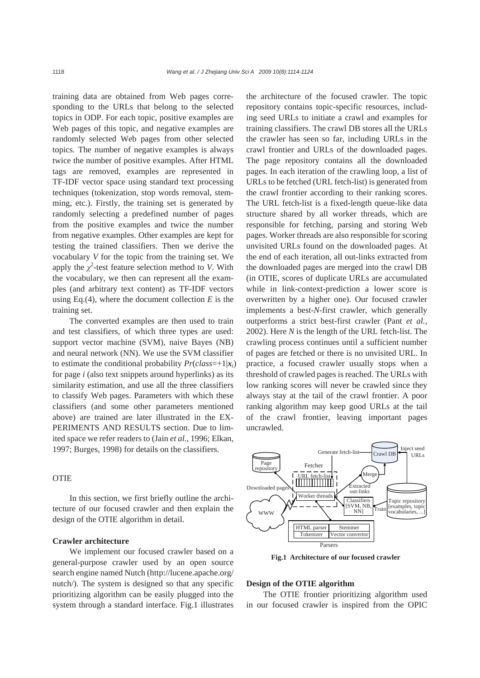training data are obtained from Web pages corresponding to the URLs that belong to the selected topics in ODP. For each topic, positive examples are Web pages of this topic, and negative examples are randomly selected Web pages from other selected topics. The number of negative examples is always twice the number of positive examples. After HTML tags are removed, examples are represented in TF-IDF vector space using standard text processing techniques (tokenization, stop words removal, stemming, etc.). Firstly, the training set is generated by randomly selecting a predefined number of pages from the positive examples and twice the number from negative examples. Other examples are kept for testing the trained classifiers. Then we derive the vocabulary *V* for the topic from the training set. We apply the  $\chi^2$ -test feature selection method to *V*. With the vocabulary, we then can represent all the examples (and arbitrary text content) as TF-IDF vectors using Eq.(4), where the document collection  $E$  is the training set.

The converted examples are then used to train and test classifiers, of which three types are used: support vector machine (SVM), naive Bayes (NB) and neural network (NN). We use the SVM classifier to estimate the conditional probability  $Pr(\text{class}=+1|\mathbf{x}_i)$ for page *i* (also text snippets around hyperlinks) as its similarity estimation, and use all the three classifiers to classify Web pages. Parameters with which these classifiers (and some other parameters mentioned above) are trained are later illustrated in the EX-PERIMENTS AND RESULTS section. Due to limited space we refer readers to (Jain *et al.*, 1996; Elkan, 1997; Burges, 1998) for details on the classifiers.

## **OTIE**

In this section, we first briefly outline the architecture of our focused crawler and then explain the design of the OTIE algorithm in detail.

## **Crawler architecture**

We implement our focused crawler based on a general-purpose crawler used by an open source search engine named Nutch (http://lucene.apache.org/ nutch/). The system is designed so that any specific prioritizing algorithm can be easily plugged into the system through a standard interface. Fig.1 illustrates

the architecture of the focused crawler. The topic repository contains topic-specific resources, including seed URLs to initiate a crawl and examples for training classifiers. The crawl DB stores all the URLs the crawler has seen so far, including URLs in the crawl frontier and URLs of the downloaded pages. The page repository contains all the downloaded pages. In each iteration of the crawling loop, a list of URLs to be fetched (URL fetch-list) is generated from the crawl frontier according to their ranking scores. The URL fetch-list is a fixed-length queue-like data structure shared by all worker threads, which are responsible for fetching, parsing and storing Web pages. Worker threads are also responsible for scoring unvisited URLs found on the downloaded pages. At the end of each iteration, all out-links extracted from the downloaded pages are merged into the crawl DB (in OTIE, scores of duplicate URLs are accumulated while in link-context-prediction a lower score is overwritten by a higher one). Our focused crawler implements a best-*N*-first crawler, which generally outperforms a strict best-first crawler (Pant *et al.*, 2002). Here *N* is the length of the URL fetch-list. The crawling process continues until a sufficient number of pages are fetched or there is no unvisited URL. In practice, a focused crawler usually stops when a threshold of crawled pages is reached. The URLs with low ranking scores will never be crawled since they always stay at the tail of the crawl frontier. A poor ranking algorithm may keep good URLs at the tail of the crawl frontier, leaving important pages uncrawled.



**Fig.1 Architecture of our focused crawler** 

#### **Design of the OTIE algorithm**

The OTIE frontier prioritizing algorithm used in our focused crawler is inspired from the OPIC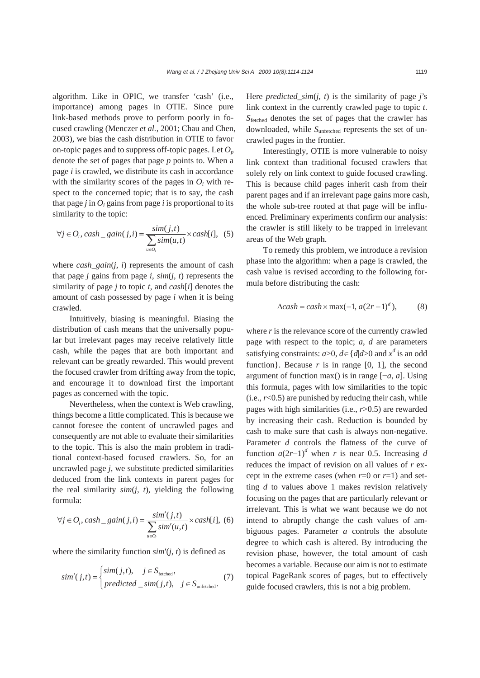algorithm. Like in OPIC, we transfer 'cash' (i.e., importance) among pages in OTIE. Since pure link-based methods prove to perform poorly in focused crawling (Menczer *et al.*, 2001; Chau and Chen, 2003), we bias the cash distribution in OTIE to favor on-topic pages and to suppress off-topic pages. Let  $O_p$ denote the set of pages that page *p* points to. When a page *i* is crawled, we distribute its cash in accordance with the similarity scores of the pages in  $O_i$  with respect to the concerned topic; that is to say, the cash that page  $j$  in  $O_i$  gains from page  $i$  is proportional to its similarity to the topic:

$$
\forall j \in O_i, cash\_gain(j,i) = \frac{sim(j,t)}{\sum_{u \in O_i} sim(u,t)} \times cash[i], \quad (5)
$$

where *cash\_gain*(*j*, *i*) represents the amount of cash that page  $j$  gains from page  $i$ ,  $\text{sim}(j, t)$  represents the similarity of page *j* to topic *t*, and *cash*[*i*] denotes the amount of cash possessed by page *i* when it is being crawled.

Intuitively, biasing is meaningful. Biasing the distribution of cash means that the universally popular but irrelevant pages may receive relatively little cash, while the pages that are both important and relevant can be greatly rewarded. This would prevent the focused crawler from drifting away from the topic, and encourage it to download first the important pages as concerned with the topic.

Nevertheless, when the context is Web crawling, things become a little complicated. This is because we cannot foresee the content of uncrawled pages and consequently are not able to evaluate their similarities to the topic. This is also the main problem in traditional context-based focused crawlers. So, for an uncrawled page *j*, we substitute predicted similarities deduced from the link contexts in parent pages for the real similarity *sim*(*j*, *t*), yielding the following formula:

$$
\forall j \in O_i, cash\_gain(j,i) = \frac{sim'(j,t)}{\sum_{u \in O_i} sim'(u,t)} \times cash[i], (6)
$$

where the similarity function  $\sin'(i, t)$  is defined as

$$
sim'(j,t) = \begin{cases} sim(j,t), & j \in S_{\text{fetched}}, \\ predicted\_sim(j,t), & j \in S_{\text{unfetched}}. \end{cases}
$$
 (7)

Here *predicted\_sim* $(i, t)$  is the similarity of page *j*'s link context in the currently crawled page to topic *t*. *S*fetched denotes the set of pages that the crawler has downloaded, while S<sub>unfetched</sub> represents the set of uncrawled pages in the frontier.

Interestingly, OTIE is more vulnerable to noisy link context than traditional focused crawlers that solely rely on link context to guide focused crawling. This is because child pages inherit cash from their parent pages and if an irrelevant page gains more cash, the whole sub-tree rooted at that page will be influenced. Preliminary experiments confirm our analysis: the crawler is still likely to be trapped in irrelevant areas of the Web graph.

To remedy this problem, we introduce a revision phase into the algorithm: when a page is crawled, the cash value is revised according to the following formula before distributing the cash:

$$
\Delta cash = cash \times \max(-1, a(2r - 1)^d),
$$
 (8)

where  $r$  is the relevance score of the currently crawled page with respect to the topic; *a*, *d* are parameters satisfying constraints:  $a > 0$ ,  $d \in \{d | d > 0 \text{ and } x^d \text{ is an odd} \}$ function}. Because  $r$  is in range  $[0, 1]$ , the second argument of function max() is in range [−*a*, *a*]. Using this formula, pages with low similarities to the topic  $(i.e., r<0.5)$  are punished by reducing their cash, while pages with high similarities (i.e., *r*>0.5) are rewarded by increasing their cash. Reduction is bounded by cash to make sure that cash is always non-negative. Parameter *d* controls the flatness of the curve of function  $a(2r-1)^d$  when *r* is near 0.5. Increasing *d* reduces the impact of revision on all values of *r* except in the extreme cases (when  $r=0$  or  $r=1$ ) and setting *d* to values above 1 makes revision relatively focusing on the pages that are particularly relevant or irrelevant. This is what we want because we do not intend to abruptly change the cash values of ambiguous pages. Parameter *a* controls the absolute degree to which cash is altered. By introducing the revision phase, however, the total amount of cash becomes a variable. Because our aim is not to estimate topical PageRank scores of pages, but to effectively guide focused crawlers, this is not a big problem.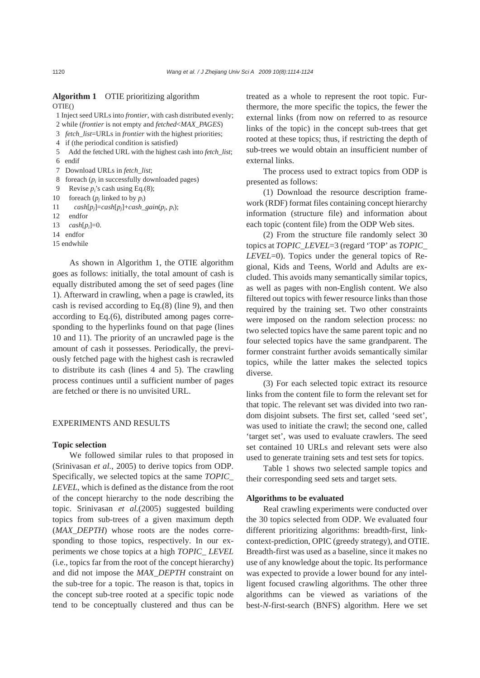## **Algorithm 1** OTIE prioritizing algorithm  $OTIE()$

1 Inject seed URLs into *frontier*, with cash distributed evenly; 2 while (*frontier* is not empty and *fetched*<*MAX\_PAGES*)

- 3 *fetch\_list*=URLs in *frontier* with the highest priorities;
- 4 if (the periodical condition is satisfied)
- 5 Add the fetched URL with the highest cash into *fetch\_list*; 6 endif
- 7 Download URLs in *fetch\_list*;
- 8 foreach  $(p_i$  in successfully downloaded pages)
- 9 Revise *pi*'s cash using Eq.(8);
- 10 foreach  $(p_i)$  linked to by  $p_i$ )
- 11  $\text{cash}[p_j] = \text{cash}[p_j] + \text{cash\_gain}(p_j, p_i);$
- 12 endfor
- 13 *cash*[*pi*]=0.
- 14 endfor
- 15 endwhile

As shown in Algorithm 1, the OTIE algorithm goes as follows: initially, the total amount of cash is equally distributed among the set of seed pages (line 1). Afterward in crawling, when a page is crawled, its cash is revised according to Eq.(8) (line 9), and then according to Eq.(6), distributed among pages corresponding to the hyperlinks found on that page (lines 10 and 11). The priority of an uncrawled page is the amount of cash it possesses. Periodically, the previously fetched page with the highest cash is recrawled to distribute its cash (lines 4 and 5). The crawling process continues until a sufficient number of pages are fetched or there is no unvisited URL.

## EXPERIMENTS AND RESULTS

#### **Topic selection**

We followed similar rules to that proposed in (Srinivasan *et al.*, 2005) to derive topics from ODP. Specifically, we selected topics at the same *TOPIC\_ LEVEL*, which is defined as the distance from the root of the concept hierarchy to the node describing the topic. Srinivasan *et al.*(2005) suggested building topics from sub-trees of a given maximum depth (*MAX\_DEPTH*) whose roots are the nodes corresponding to those topics, respectively. In our experiments we chose topics at a high *TOPIC\_ LEVEL* (i.e., topics far from the root of the concept hierarchy) and did not impose the *MAX\_DEPTH* constraint on the sub-tree for a topic. The reason is that, topics in the concept sub-tree rooted at a specific topic node tend to be conceptually clustered and thus can be

treated as a whole to represent the root topic. Furthermore, the more specific the topics, the fewer the external links (from now on referred to as resource links of the topic) in the concept sub-trees that get rooted at these topics; thus, if restricting the depth of sub-trees we would obtain an insufficient number of external links.

The process used to extract topics from ODP is presented as follows:

(1) Download the resource description framework (RDF) format files containing concept hierarchy information (structure file) and information about each topic (content file) from the ODP Web sites.

(2) From the structure file randomly select 30 topics at *TOPIC\_LEVEL*=3 (regard 'TOP' as *TOPIC\_ LEVEL*=0). Topics under the general topics of Regional, Kids and Teens, World and Adults are excluded. This avoids many semantically similar topics, as well as pages with non-English content. We also filtered out topics with fewer resource links than those required by the training set. Two other constraints were imposed on the random selection process: no two selected topics have the same parent topic and no four selected topics have the same grandparent. The former constraint further avoids semantically similar topics, while the latter makes the selected topics diverse.

(3) For each selected topic extract its resource links from the content file to form the relevant set for that topic. The relevant set was divided into two random disjoint subsets. The first set, called 'seed set', was used to initiate the crawl; the second one, called 'target set', was used to evaluate crawlers. The seed set contained 10 URLs and relevant sets were also used to generate training sets and test sets for topics.

Table 1 shows two selected sample topics and their corresponding seed sets and target sets.

## **Algorithms to be evaluated**

Real crawling experiments were conducted over the 30 topics selected from ODP. We evaluated four different prioritizing algorithms: breadth-first, linkcontext-prediction, OPIC (greedy strategy), and OTIE. Breadth-first was used as a baseline, since it makes no use of any knowledge about the topic. Its performance was expected to provide a lower bound for any intelligent focused crawling algorithms. The other three algorithms can be viewed as variations of the best-*N*-first-search (BNFS) algorithm. Here we set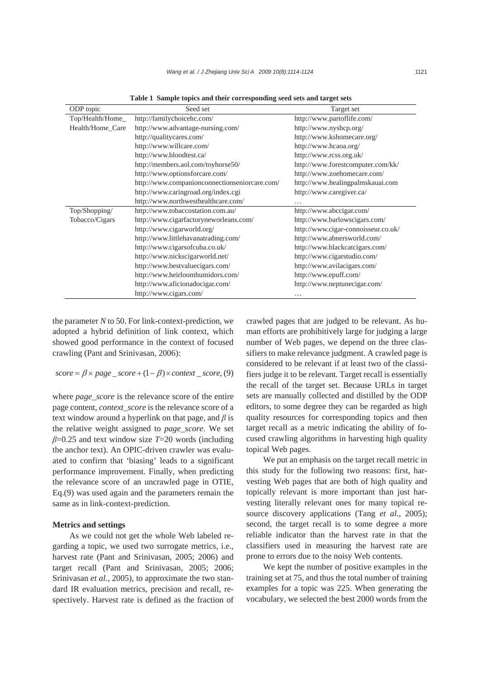| ODP topic        | Seed set                                      | Target set                          |
|------------------|-----------------------------------------------|-------------------------------------|
| Top/Health/Home  | http://familychoicehc.com/                    | http://www.partoflife.com/          |
| Health/Home_Care | http://www.advantage-nursing.com/             | http://www.nyshcp.org/              |
|                  | http://qualitycares.com/                      | http://www.kshomecare.org/          |
|                  | http://www.willcare.com/                      | http://www.hcaoa.org/               |
|                  | http://www.bloodtest.ca/                      | http://www.rcss.org.uk/             |
|                  | http://members.aol.com/toyhorse50/            | http://www.forestcomputer.com/kk/   |
|                  | http://www.optionsforcare.com/                | http://www.zoehomecare.com/         |
|                  | http://www.companionconnectionseniorcare.com/ | http://www.healingpalmskauai.com    |
|                  | http://www.caringroad.org/index.cgi           | http://www.caregiver.ca/            |
|                  | http://www.northwesthealthcare.com/           | .                                   |
| Top/Shopping/    | http://www.tobaccostation.com.au/             | http://www.abccigar.com/            |
| Tobacco/Cigars   | http://www.cigarfactoryneworleans.com/        | http://www.barlowscigars.com/       |
|                  | http://www.cigarworld.org/                    | http://www.cigar-connoisseur.co.uk/ |
|                  | http://www.littlehavanatrading.com/           | http://www.abnersworld.com/         |
|                  | http://www.cigarsofcuba.co.uk/                | http://www.blackcatcigars.com/      |
|                  | http://www.nickscigarworld.net/               | http://www.cigarstudio.com/         |
|                  | http://www.bestvaluecigars.com/               | http://www.avilacigars.com/         |
|                  | http://www.heirloomhumidors.com/              | http://www.epuff.com/               |
|                  | http://www.aficionadocigar.com/               | http://www.neptunecigar.com/        |
|                  | http://www.cigars.com/                        | .                                   |

**Table 1 Sample topics and their corresponding seed sets and target sets** 

the parameter *N* to 50. For link-context-prediction, we adopted a hybrid definition of link context, which showed good performance in the context of focused crawling (Pant and Srinivasan, 2006):

```
score = \beta \times page score + (1 - \beta) \times context score, (9)
```
where *page* score is the relevance score of the entire page content, *context\_score* is the relevance score of a text window around a hyperlink on that page, and *β* is the relative weight assigned to *page\_score*. We set *β*=0.25 and text window size *T*=20 words (including the anchor text). An OPIC-driven crawler was evaluated to confirm that 'biasing' leads to a significant performance improvement. Finally, when predicting the relevance score of an uncrawled page in OTIE, Eq.(9) was used again and the parameters remain the same as in link-context-prediction.

## **Metrics and settings**

As we could not get the whole Web labeled regarding a topic, we used two surrogate metrics, i.e., harvest rate (Pant and Srinivasan, 2005; 2006) and target recall (Pant and Srinivasan, 2005; 2006; Srinivasan *et al.*, 2005), to approximate the two standard IR evaluation metrics, precision and recall, respectively. Harvest rate is defined as the fraction of crawled pages that are judged to be relevant. As human efforts are prohibitively large for judging a large number of Web pages, we depend on the three classifiers to make relevance judgment. A crawled page is considered to be relevant if at least two of the classifiers judge it to be relevant. Target recall is essentially the recall of the target set. Because URLs in target sets are manually collected and distilled by the ODP editors, to some degree they can be regarded as high quality resources for corresponding topics and then target recall as a metric indicating the ability of focused crawling algorithms in harvesting high quality topical Web pages.

We put an emphasis on the target recall metric in this study for the following two reasons: first, harvesting Web pages that are both of high quality and topically relevant is more important than just harvesting literally relevant ones for many topical resource discovery applications (Tang *et al.*, 2005); second, the target recall is to some degree a more reliable indicator than the harvest rate in that the classifiers used in measuring the harvest rate are prone to errors due to the noisy Web contents.

We kept the number of positive examples in the training set at 75, and thus the total number of training examples for a topic was 225. When generating the vocabulary, we selected the best 2000 words from the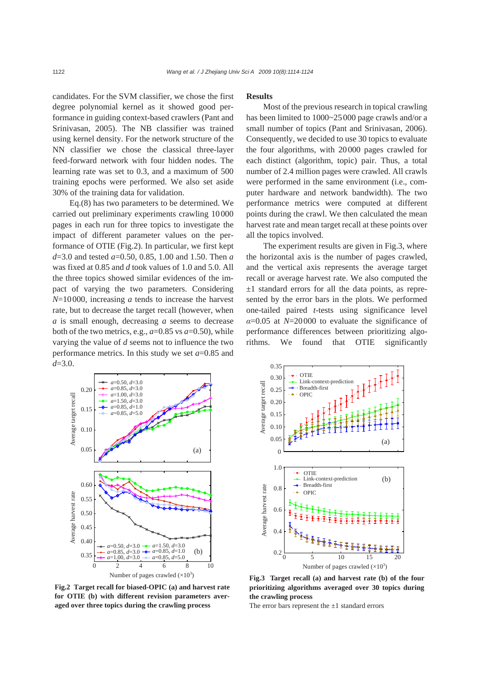candidates. For the SVM classifier, we chose the first degree polynomial kernel as it showed good performance in guiding context-based crawlers (Pant and Srinivasan, 2005). The NB classifier was trained using kernel density. For the network structure of the NN classifier we chose the classical three-layer feed-forward network with four hidden nodes. The learning rate was set to 0.3, and a maximum of 500 training epochs were performed. We also set aside 30% of the training data for validation.

Eq.(8) has two parameters to be determined. We carried out preliminary experiments crawling 10000 pages in each run for three topics to investigate the impact of different parameter values on the performance of OTIE (Fig.2). In particular, we first kept *d*=3.0 and tested *a*=0.50, 0.85, 1.00 and 1.50. Then *a* was fixed at 0.85 and *d* took values of 1.0 and 5.0. All the three topics showed similar evidences of the impact of varying the two parameters. Considering *N*=10000, increasing *a* tends to increase the harvest rate, but to decrease the target recall (however, when *a* is small enough, decreasing *a* seems to decrease both of the two metrics, e.g.,  $a=0.85$  vs  $a=0.50$ ), while varying the value of *d* seems not to influence the two performance metrics. In this study we set *a*=0.85 and *d*=3.0.

# **Results**

Most of the previous research in topical crawling has been limited to 1000~25000 page crawls and/or a small number of topics (Pant and Srinivasan, 2006). Consequently, we decided to use 30 topics to evaluate the four algorithms, with 20000 pages crawled for each distinct (algorithm, topic) pair. Thus, a total number of 2.4 million pages were crawled. All crawls were performed in the same environment (i.e., computer hardware and network bandwidth). The two performance metrics were computed at different points during the crawl. We then calculated the mean harvest rate and mean target recall at these points over all the topics involved.

The experiment results are given in Fig.3, where the horizontal axis is the number of pages crawled, and the vertical axis represents the average target recall or average harvest rate. We also computed the  $\pm 1$  standard errors for all the data points, as represented by the error bars in the plots. We performed one-tailed paired *t*-tests using significance level *α*=0.05 at *N*=20000 to evaluate the significance of performance differences between prioritizing algorithms. We found that OTIE significantly



**Fig.2 Target recall for biased-OPIC (a) and harvest rate for OTIE (b) with different revision parameters averaged over three topics during the crawling process** 



**Fig.3 Target recall (a) and harvest rate (b) of the four prioritizing algorithms averaged over 30 topics during the crawling process** 

The error bars represent the  $\pm 1$  standard errors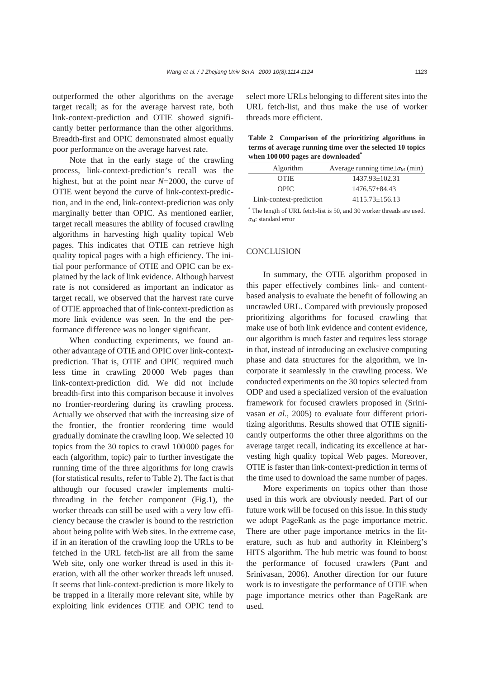outperformed the other algorithms on the average target recall; as for the average harvest rate, both link-context-prediction and OTIE showed significantly better performance than the other algorithms. Breadth-first and OPIC demonstrated almost equally poor performance on the average harvest rate.

Note that in the early stage of the crawling process, link-context-prediction's recall was the highest, but at the point near *N*=2000, the curve of OTIE went beyond the curve of link-context-prediction, and in the end, link-context-prediction was only marginally better than OPIC. As mentioned earlier, target recall measures the ability of focused crawling algorithms in harvesting high quality topical Web pages. This indicates that OTIE can retrieve high quality topical pages with a high efficiency. The initial poor performance of OTIE and OPIC can be explained by the lack of link evidence. Although harvest rate is not considered as important an indicator as target recall, we observed that the harvest rate curve of OTIE approached that of link-context-prediction as more link evidence was seen. In the end the performance difference was no longer significant.

When conducting experiments, we found another advantage of OTIE and OPIC over link-contextprediction. That is, OTIE and OPIC required much less time in crawling 20000 Web pages than link-context-prediction did. We did not include breadth-first into this comparison because it involves no frontier-reordering during its crawling process. Actually we observed that with the increasing size of the frontier, the frontier reordering time would gradually dominate the crawling loop. We selected 10 topics from the 30 topics to crawl 100000 pages for each (algorithm, topic) pair to further investigate the running time of the three algorithms for long crawls (for statistical results, refer to Table 2). The fact is that although our focused crawler implements multithreading in the fetcher component (Fig.1), the worker threads can still be used with a very low efficiency because the crawler is bound to the restriction about being polite with Web sites. In the extreme case, if in an iteration of the crawling loop the URLs to be fetched in the URL fetch-list are all from the same Web site, only one worker thread is used in this iteration, with all the other worker threads left unused. It seems that link-context-prediction is more likely to be trapped in a literally more relevant site, while by exploiting link evidences OTIE and OPIC tend to

select more URLs belonging to different sites into the URL fetch-list, and thus make the use of worker threads more efficient.

**Table 2 Comparison of the prioritizing algorithms in terms of average running time over the selected 10 topics when 100 000 pages are downloaded\***

| Algorithm               | Average running time $\pm \sigma_M$ (min) |
|-------------------------|-------------------------------------------|
| <b>OTIE</b>             | $1437.93 \pm 102.31$                      |
| <b>OPIC</b>             | $1476.57 + 84.43$                         |
| Link-context-prediction | $4115.73 \pm 156.13$                      |

\* The length of URL fetch-list is 50, and 30 worker threads are used. *σ*M: standard error

## **CONCLUSION**

In summary, the OTIE algorithm proposed in this paper effectively combines link- and contentbased analysis to evaluate the benefit of following an uncrawled URL. Compared with previously proposed prioritizing algorithms for focused crawling that make use of both link evidence and content evidence, our algorithm is much faster and requires less storage in that, instead of introducing an exclusive computing phase and data structures for the algorithm, we incorporate it seamlessly in the crawling process. We conducted experiments on the 30 topics selected from ODP and used a specialized version of the evaluation framework for focused crawlers proposed in (Srinivasan *et al.*, 2005) to evaluate four different prioritizing algorithms. Results showed that OTIE significantly outperforms the other three algorithms on the average target recall, indicating its excellence at harvesting high quality topical Web pages. Moreover, OTIE is faster than link-context-prediction in terms of the time used to download the same number of pages.

More experiments on topics other than those used in this work are obviously needed. Part of our future work will be focused on this issue. In this study we adopt PageRank as the page importance metric. There are other page importance metrics in the literature, such as hub and authority in Kleinberg's HITS algorithm. The hub metric was found to boost the performance of focused crawlers (Pant and Srinivasan, 2006). Another direction for our future work is to investigate the performance of OTIE when page importance metrics other than PageRank are used.